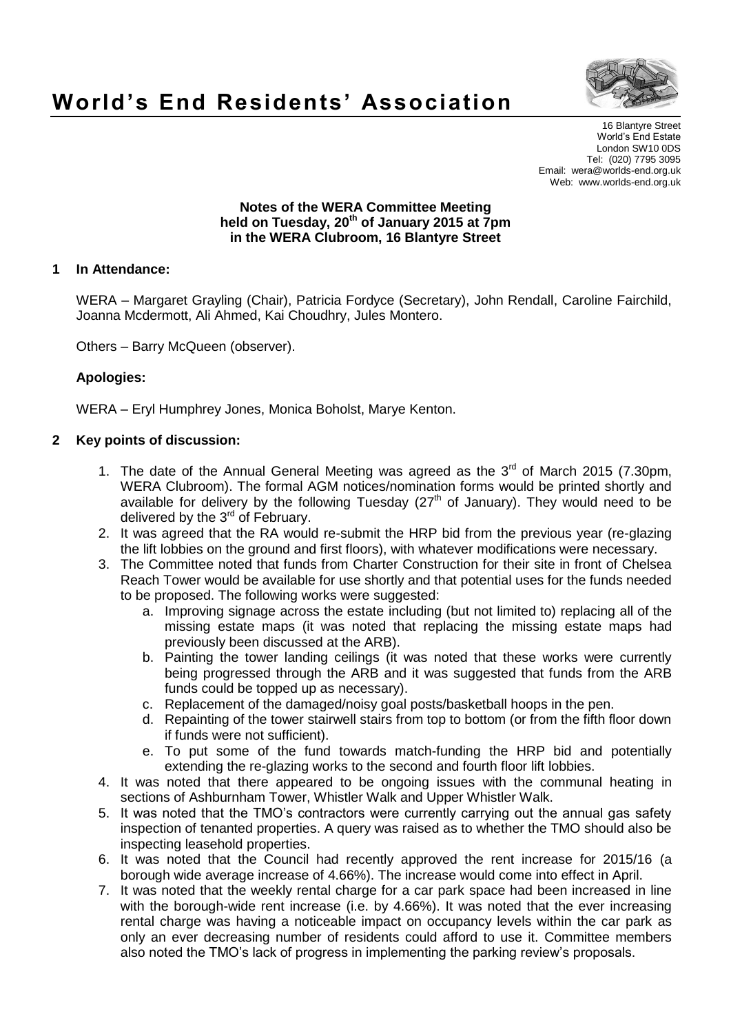

# **World's End Residents' Association**

16 Blantyre Street World's End Estate London SW10 0DS Tel: (020) 7795 3095 Email: wera@worlds-end.org.uk Web: www.worlds-end.org.uk

#### **Notes of the WERA Committee Meeting held on Tuesday, 20th of January 2015 at 7pm in the WERA Clubroom, 16 Blantyre Street**

### **1 In Attendance:**

WERA – Margaret Grayling (Chair), Patricia Fordyce (Secretary), John Rendall, Caroline Fairchild, Joanna Mcdermott, Ali Ahmed, Kai Choudhry, Jules Montero.

Others – Barry McQueen (observer).

#### **Apologies:**

WERA – Eryl Humphrey Jones, Monica Boholst, Marye Kenton.

#### **2 Key points of discussion:**

- 1. The date of the Annual General Meeting was agreed as the  $3<sup>rd</sup>$  of March 2015 (7.30pm, WERA Clubroom). The formal AGM notices/nomination forms would be printed shortly and available for delivery by the following Tuesday ( $27<sup>th</sup>$  of January). They would need to be delivered by the 3<sup>rd</sup> of February.
- 2. It was agreed that the RA would re-submit the HRP bid from the previous year (re-glazing the lift lobbies on the ground and first floors), with whatever modifications were necessary.
- 3. The Committee noted that funds from Charter Construction for their site in front of Chelsea Reach Tower would be available for use shortly and that potential uses for the funds needed to be proposed. The following works were suggested:
	- a. Improving signage across the estate including (but not limited to) replacing all of the missing estate maps (it was noted that replacing the missing estate maps had previously been discussed at the ARB).
	- b. Painting the tower landing ceilings (it was noted that these works were currently being progressed through the ARB and it was suggested that funds from the ARB funds could be topped up as necessary).
	- c. Replacement of the damaged/noisy goal posts/basketball hoops in the pen.
	- d. Repainting of the tower stairwell stairs from top to bottom (or from the fifth floor down if funds were not sufficient).
	- e. To put some of the fund towards match-funding the HRP bid and potentially extending the re-glazing works to the second and fourth floor lift lobbies.
- 4. It was noted that there appeared to be ongoing issues with the communal heating in sections of Ashburnham Tower, Whistler Walk and Upper Whistler Walk.
- 5. It was noted that the TMO's contractors were currently carrying out the annual gas safety inspection of tenanted properties. A query was raised as to whether the TMO should also be inspecting leasehold properties.
- 6. It was noted that the Council had recently approved the rent increase for 2015/16 (a borough wide average increase of 4.66%). The increase would come into effect in April.
- 7. It was noted that the weekly rental charge for a car park space had been increased in line with the borough-wide rent increase (i.e. by 4.66%). It was noted that the ever increasing rental charge was having a noticeable impact on occupancy levels within the car park as only an ever decreasing number of residents could afford to use it. Committee members also noted the TMO's lack of progress in implementing the parking review's proposals.